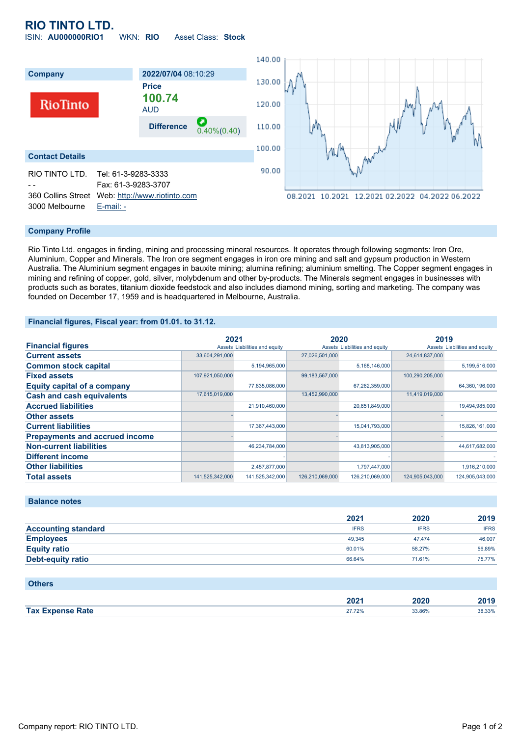# **RIO TINTO LTD.**

ISIN: **AU000000RIO1** WKN: **RIO** Asset Class: **Stock**



### **Company Profile**

Rio Tinto Ltd. engages in finding, mining and processing mineral resources. It operates through following segments: Iron Ore, Aluminium, Copper and Minerals. The Iron ore segment engages in iron ore mining and salt and gypsum production in Western Australia. The Aluminium segment engages in bauxite mining; alumina refining; aluminium smelting. The Copper segment engages in mining and refining of copper, gold, silver, molybdenum and other by-products. The Minerals segment engages in businesses with products such as borates, titanium dioxide feedstock and also includes diamond mining, sorting and marketing. The company was founded on December 17, 1959 and is headquartered in Melbourne, Australia.

### **Financial figures, Fiscal year: from 01.01. to 31.12.**

|                                       | 2021            |                               | 2020            |                               | 2019            |                               |
|---------------------------------------|-----------------|-------------------------------|-----------------|-------------------------------|-----------------|-------------------------------|
| <b>Financial figures</b>              |                 | Assets Liabilities and equity |                 | Assets Liabilities and equity |                 | Assets Liabilities and equity |
| <b>Current assets</b>                 | 33,604,291,000  |                               | 27,026,501,000  |                               | 24,614,837,000  |                               |
| <b>Common stock capital</b>           |                 | 5,194,965,000                 |                 | 5,168,146,000                 |                 | 5,199,516,000                 |
| <b>Fixed assets</b>                   | 107,921,050,000 |                               | 99,183,567,000  |                               | 100,290,205,000 |                               |
| <b>Equity capital of a company</b>    |                 | 77,835,086,000                |                 | 67,262,359,000                |                 | 64,360,196,000                |
| <b>Cash and cash equivalents</b>      | 17,615,019,000  |                               | 13,452,990,000  |                               | 11,419,019,000  |                               |
| <b>Accrued liabilities</b>            |                 | 21,910,460,000                |                 | 20,651,849,000                |                 | 19,494,985,000                |
| <b>Other assets</b>                   |                 |                               |                 |                               |                 |                               |
| <b>Current liabilities</b>            |                 | 17,367,443,000                |                 | 15,041,793,000                |                 | 15,826,161,000                |
| <b>Prepayments and accrued income</b> |                 |                               |                 |                               |                 |                               |
| <b>Non-current liabilities</b>        |                 | 46,234,784,000                |                 | 43,813,905,000                |                 | 44,617,682,000                |
| <b>Different income</b>               |                 |                               |                 |                               |                 |                               |
| <b>Other liabilities</b>              |                 | 2,457,877,000                 |                 | 1,797,447,000                 |                 | 1,916,210,000                 |
| <b>Total assets</b>                   | 141,525,342,000 | 141,525,342,000               | 126,210,069,000 | 126,210,069,000               | 124.905.043.000 | 124.905.043.000               |

## **Balance notes**

|                            | 2021        | 2020        | 2019        |
|----------------------------|-------------|-------------|-------------|
| <b>Accounting standard</b> | <b>IFRS</b> | <b>IFRS</b> | <b>IFRS</b> |
| <b>Employees</b>           | 49.345      | 47.474      | 46,007      |
| <b>Equity ratio</b>        | 60.01%      | 58.27%      | 56.89%      |
| Debt-equity ratio          | 66.64%      | 71.61%      | 75.77%      |

#### **Others**

|                | הממ<br>ZUZ 1 | .vzu<br>_____ | ,,,,   |
|----------------|--------------|---------------|--------|
| Tax E.<br>Rate |              | 3.86%         | 38.33% |